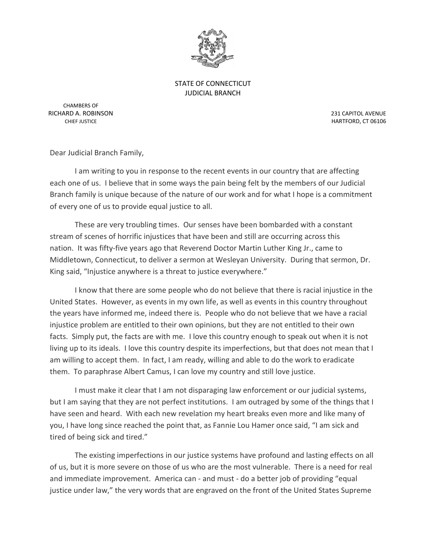

STATE OF CONNECTICUT JUDICIAL BRANCH

CHAMBERS OF RICHARD A. ROBINSON 231 CAPITOL AVENUE

CHIEF JUSTICE **HARTFORD, CT 06106** 

Dear Judicial Branch Family,

I am writing to you in response to the recent events in our country that are affecting each one of us. I believe that in some ways the pain being felt by the members of our Judicial Branch family is unique because of the nature of our work and for what I hope is a commitment of every one of us to provide equal justice to all.

These are very troubling times. Our senses have been bombarded with a constant stream of scenes of horrific injustices that have been and still are occurring across this nation. It was fifty-five years ago that Reverend Doctor Martin Luther King Jr., came to Middletown, Connecticut, to deliver a sermon at Wesleyan University. During that sermon, Dr. King said, "Injustice anywhere is a threat to justice everywhere."

I know that there are some people who do not believe that there is racial injustice in the United States. However, as events in my own life, as well as events in this country throughout the years have informed me, indeed there is. People who do not believe that we have a racial injustice problem are entitled to their own opinions, but they are not entitled to their own facts. Simply put, the facts are with me. I love this country enough to speak out when it is not living up to its ideals. I love this country despite its imperfections, but that does not mean that I am willing to accept them. In fact, I am ready, willing and able to do the work to eradicate them. To paraphrase Albert Camus, I can love my country and still love justice.

I must make it clear that I am not disparaging law enforcement or our judicial systems, but I am saying that they are not perfect institutions. I am outraged by some of the things that I have seen and heard. With each new revelation my heart breaks even more and like many of you, I have long since reached the point that, as Fannie Lou Hamer once said, "I am sick and tired of being sick and tired."

The existing imperfections in our justice systems have profound and lasting effects on all of us, but it is more severe on those of us who are the most vulnerable. There is a need for real and immediate improvement. America can - and must - do a better job of providing "equal justice under law," the very words that are engraved on the front of the United States Supreme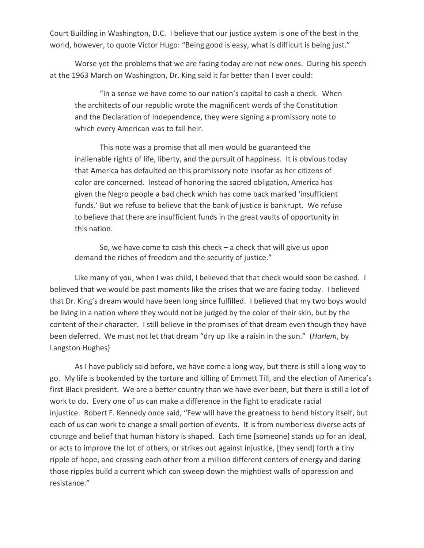Court Building in Washington, D.C. I believe that our justice system is one of the best in the world, however, to quote Victor Hugo: "Being good is easy, what is difficult is being just."

Worse yet the problems that we are facing today are not new ones. During his speech at the 1963 March on Washington, Dr. King said it far better than I ever could:

"In a sense we have come to our nation's capital to cash a check. When the architects of our republic wrote the magnificent words of the Constitution and the Declaration of Independence, they were signing a promissory note to which every American was to fall heir.

This note was a promise that all men would be guaranteed the inalienable rights of life, liberty, and the pursuit of happiness. It is obvious today that America has defaulted on this promissory note insofar as her citizens of color are concerned. Instead of honoring the sacred obligation, America has given the Negro people a bad check which has come back marked 'insufficient funds.' But we refuse to believe that the bank of justice is bankrupt. We refuse to believe that there are insufficient funds in the great vaults of opportunity in this nation.

So, we have come to cash this check – a check that will give us upon demand the riches of freedom and the security of justice."

Like many of you, when I was child, I believed that that check would soon be cashed. I believed that we would be past moments like the crises that we are facing today. I believed that Dr. King's dream would have been long since fulfilled. I believed that my two boys would be living in a nation where they would not be judged by the color of their skin, but by the content of their character. I still believe in the promises of that dream even though they have been deferred. We must not let that dream "dry up like a raisin in the sun." (*Harlem*, by Langston Hughes)

As I have publicly said before, we have come a long way, but there is still a long way to go. My life is bookended by the torture and killing of Emmett Till, and the election of America's first Black president. We are a better country than we have ever been, but there is still a lot of work to do. Every one of us can make a difference in the fight to eradicate racial injustice. Robert F. Kennedy once said, "Few will have the greatness to bend history itself, but each of us can work to change a small portion of events. It is from numberless diverse acts of courage and belief that human history is shaped. Each time [someone] stands up for an ideal, or acts to improve the lot of others, or strikes out against injustice, [they send] forth a tiny ripple of hope, and crossing each other from a million different centers of energy and daring those ripples build a current which can sweep down the mightiest walls of oppression and resistance."